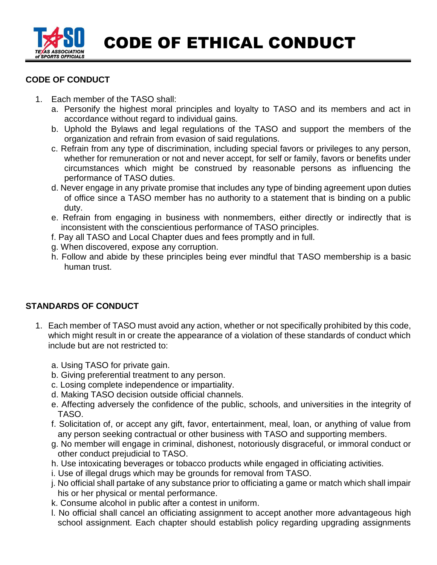

## CODE OF ETHICAL CONDUCT

## **CODE OF CONDUCT**

- 1. Each member of the TASO shall:
	- a. Personify the highest moral principles and loyalty to TASO and its members and act in accordance without regard to individual gains.
	- b. Uphold the Bylaws and legal regulations of the TASO and support the members of the organization and refrain from evasion of said regulations.
	- c. Refrain from any type of discrimination, including special favors or privileges to any person, whether for remuneration or not and never accept, for self or family, favors or benefits under circumstances which might be construed by reasonable persons as influencing the performance of TASO duties.
	- d. Never engage in any private promise that includes any type of binding agreement upon duties of office since a TASO member has no authority to a statement that is binding on a public duty.
	- e. Refrain from engaging in business with nonmembers, either directly or indirectly that is inconsistent with the conscientious performance of TASO principles.
	- f. Pay all TASO and Local Chapter dues and fees promptly and in full.
	- g. When discovered, expose any corruption.
	- h. Follow and abide by these principles being ever mindful that TASO membership is a basic human trust.

## **STANDARDS OF CONDUCT**

- 1. Each member of TASO must avoid any action, whether or not specifically prohibited by this code, which might result in or create the appearance of a violation of these standards of conduct which include but are not restricted to:
	- a. Using TASO for private gain.
	- b. Giving preferential treatment to any person.
	- c. Losing complete independence or impartiality.
	- d. Making TASO decision outside official channels.
	- e. Affecting adversely the confidence of the public, schools, and universities in the integrity of TASO.
	- f. Solicitation of, or accept any gift, favor, entertainment, meal, loan, or anything of value from any person seeking contractual or other business with TASO and supporting members.
	- g. No member will engage in criminal, dishonest, notoriously disgraceful, or immoral conduct or other conduct prejudicial to TASO.
	- h. Use intoxicating beverages or tobacco products while engaged in officiating activities.
	- i. Use of illegal drugs which may be grounds for removal from TASO.
	- j. No official shall partake of any substance prior to officiating a game or match which shall impair his or her physical or mental performance.
	- k. Consume alcohol in public after a contest in uniform.
	- l. No official shall cancel an officiating assignment to accept another more advantageous high school assignment. Each chapter should establish policy regarding upgrading assignments